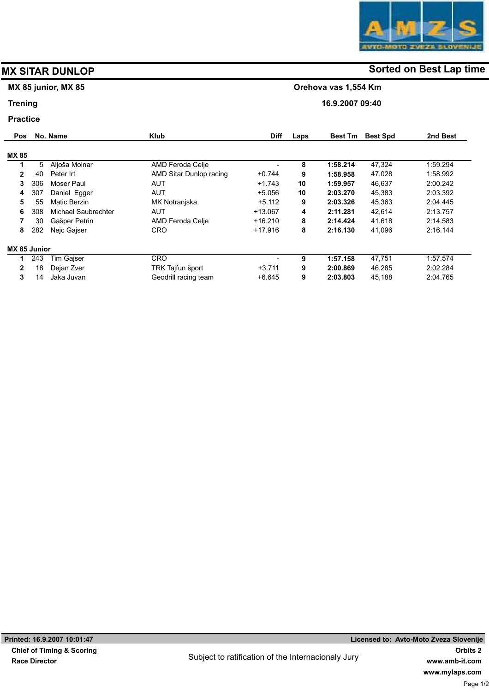# MX 85 junior, MX 85

## **Trening**

### Practice

| <b>Pos</b>   |     | No. Name            | <b>Klub</b>             | <b>Diff</b> | Laps | <b>Best Tm</b> | <b>Best Spd</b> | 2nd Best |
|--------------|-----|---------------------|-------------------------|-------------|------|----------------|-----------------|----------|
| <b>MX 85</b> |     |                     |                         |             |      |                |                 |          |
|              | 5   | Aljoša Molnar       | AMD Feroda Celje        |             | 8    | 1:58.214       | 47,324          | 1.59.294 |
| $\mathbf{2}$ | 40  | Peter Irt           | AMD Sitar Dunlop racing | $+0.744$    | 9    | 1:58.958       | 47,028          | 1.58.992 |
| 3            | 306 | Moser Paul          | AUT                     | $+1.743$    | 10   | 1:59.957       | 46,637          | 2:00.242 |
| 4            | 307 | Daniel Egger        | AUT                     | $+5.056$    | 10   | 2:03.270       | 45,383          | 2:03.392 |
| 5.           | 55  | Matic Berzin        | MK Notranjska           | $+5.112$    | 9    | 2:03.326       | 45,363          | 2:04.445 |
| 6            | 308 | Michael Saubrechter | AUT                     | $+13.067$   | 4    | 2:11.281       | 42,614          | 2:13.757 |
| 7            | 30  | Gašper Petrin       | AMD Feroda Celje        | $+16.210$   | 8    | 2:14.424       | 41,618          | 2:14.583 |
| 8            | 282 | Neic Gaiser         | <b>CRO</b>              | $+17.916$   | 8    | 2:16.130       | 41,096          | 2:16.144 |
| MX 85 Junior |     |                     |                         |             |      |                |                 |          |
|              | 243 | Tim Gaiser          | <b>CRO</b>              |             | 9    | 1:57.158       | 47,751          | 1.57.574 |
| 2            | 18  | Dejan Zver          | TRK Tajfun šport        | $+3.711$    | 9    | 2:00.869       | 46.285          | 2:02.284 |
| 3            | 14  | Jaka Juvan          | Geodrill racing team    | $+6.645$    | 9    | 2:03.803       | 45,188          | 2:04.765 |

# MX SITAR DUNLOP **Solution** Sorted on Best Lap time

Orehova vas 1,554 Km

16.9.2007 09:40